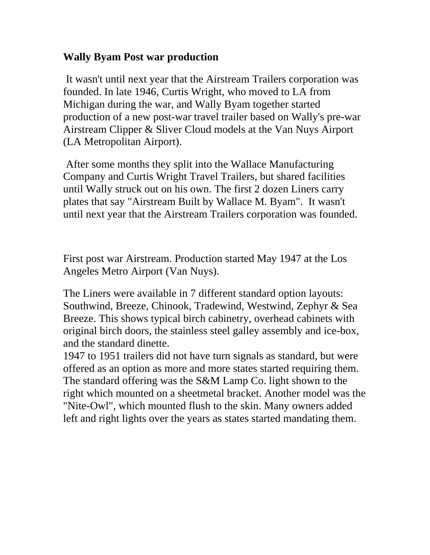## **Wally Byam Post war production**

 It wasn't until next year that the Airstream Trailers corporation was founded. In late 1946, Curtis Wright, who moved to LA from Michigan during the war, and Wally Byam together started production of a new post-war travel trailer based on Wally's pre-war Airstream Clipper & Sliver Cloud models at the Van Nuys Airport (LA Metropolitan Airport).

 After some months they split into the Wallace Manufacturing Company and Curtis Wright Travel Trailers, but shared facilities until Wally struck out on his own. The first 2 dozen Liners carry plates that say "Airstream Built by Wallace M. Byam". It wasn't until next year that the Airstream Trailers corporation was founded.

First post war Airstream. Production started May 1947 at the Los Angeles Metro Airport (Van Nuys).

The Liners were available in 7 different standard option layouts: Southwind, Breeze, Chinook, Tradewind, Westwind, Zephyr & Sea Breeze. This shows typical birch cabinetry, overhead cabinets with original birch doors, the stainless steel galley assembly and ice-box, and the standard dinette.

1947 to 1951 trailers did not have turn signals as standard, but were offered as an option as more and more states started requiring them. The standard offering was the S&M Lamp Co. light shown to the right which mounted on a sheetmetal bracket. Another model was the "Nite-Owl", which mounted flush to the skin. Many owners added left and right lights over the years as states started mandating them.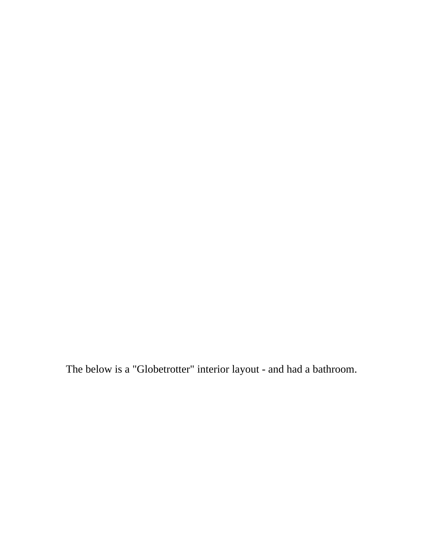The below is a "Globetrotter" interior layout - and had a bathroom.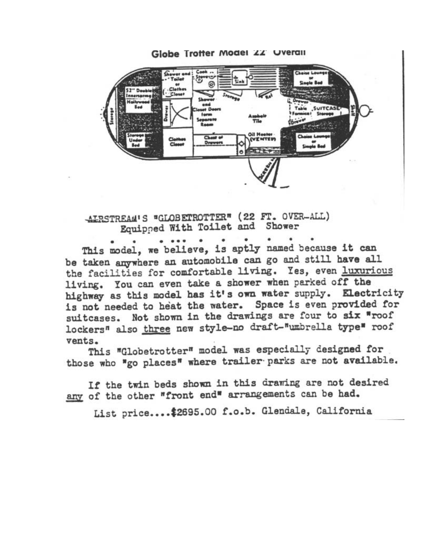

AIRSTREAM'S "GLOBETROTTER" (22 FT. OVER-ALL) Equipped With Toilet and Shower

This model, we believe, is aptly named because it can be taken anywhere an automobile can go and still have all the facilities for comfortable living. Yes, even luxurious living. You can even take a shower when parked off the highway as this model has it's own water supply. Electricity is not needed to heat the water. Space is even provided for suitcases. Not shown in the drawings are four to six "roof lockers" also three new style-no draft-"umbrella type" roof vents.

This "Globetrotter" model was especially designed for those who "go places" where trailer parks are not available.

If the twin beds shown in this drawing are not desired any of the other "front end" arrangements can be had.

List price.... \$2695.00 f.o.b. Glendale, California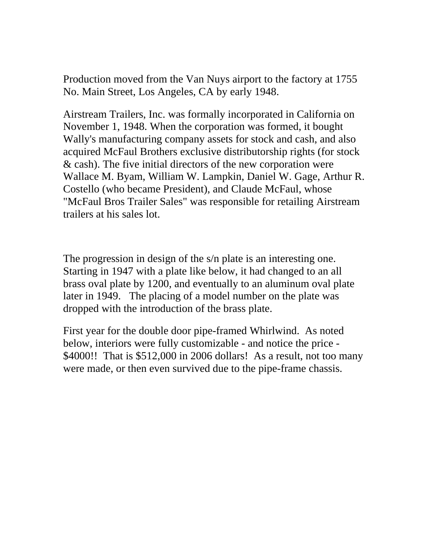Production moved from the Van Nuys airport to the factory at 1755 No. Main Street, Los Angeles, CA by early 1948.

Airstream Trailers, Inc. was formally incorporated in California on November 1, 1948. When the corporation was formed, it bought Wally's manufacturing company assets for stock and cash, and also acquired McFaul Brothers exclusive distributorship rights (for stock & cash). The five initial directors of the new corporation were Wallace M. Byam, William W. Lampkin, Daniel W. Gage, Arthur R. Costello (who became President), and Claude McFaul, whose "McFaul Bros Trailer Sales" was responsible for retailing Airstream trailers at his sales lot.

The progression in design of the s/n plate is an interesting one. Starting in 1947 with a plate like below, it had changed to an all brass oval plate by 1200, and eventually to an aluminum oval plate later in 1949. The placing of a model number on the plate was dropped with the introduction of the brass plate.

First year for the double door pipe-framed Whirlwind. As noted below, interiors were fully customizable - and notice the price - \$4000!! That is \$512,000 in 2006 dollars! As a result, not too many were made, or then even survived due to the pipe-frame chassis.